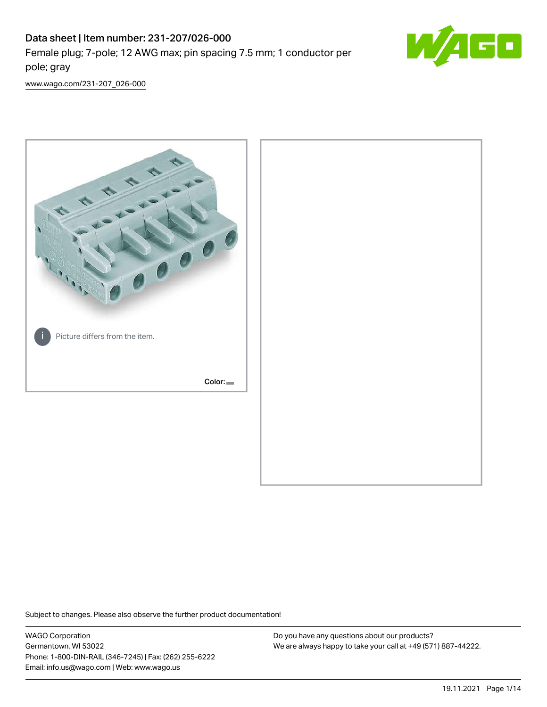# Data sheet | Item number: 231-207/026-000 Female plug; 7-pole; 12 AWG max; pin spacing 7.5 mm; 1 conductor per pole; gray



[www.wago.com/231-207\\_026-000](http://www.wago.com/231-207_026-000)



Subject to changes. Please also observe the further product documentation!

WAGO Corporation Germantown, WI 53022 Phone: 1-800-DIN-RAIL (346-7245) | Fax: (262) 255-6222 Email: info.us@wago.com | Web: www.wago.us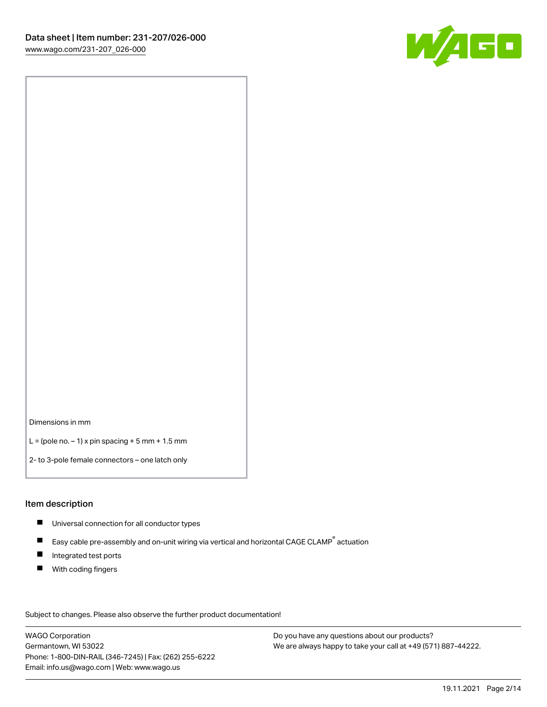

Dimensions in mm

 $L =$  (pole no.  $-1$ ) x pin spacing  $+5$  mm  $+ 1.5$  mm

2- to 3-pole female connectors – one latch only

#### Item description

- **Universal connection for all conductor types**
- Easy cable pre-assembly and on-unit wiring via vertical and horizontal CAGE CLAMP<sup>®</sup> actuation  $\blacksquare$
- $\blacksquare$ Integrated test ports
- $\blacksquare$ With coding fingers

Subject to changes. Please also observe the further product documentation! Data

WAGO Corporation Germantown, WI 53022 Phone: 1-800-DIN-RAIL (346-7245) | Fax: (262) 255-6222 Email: info.us@wago.com | Web: www.wago.us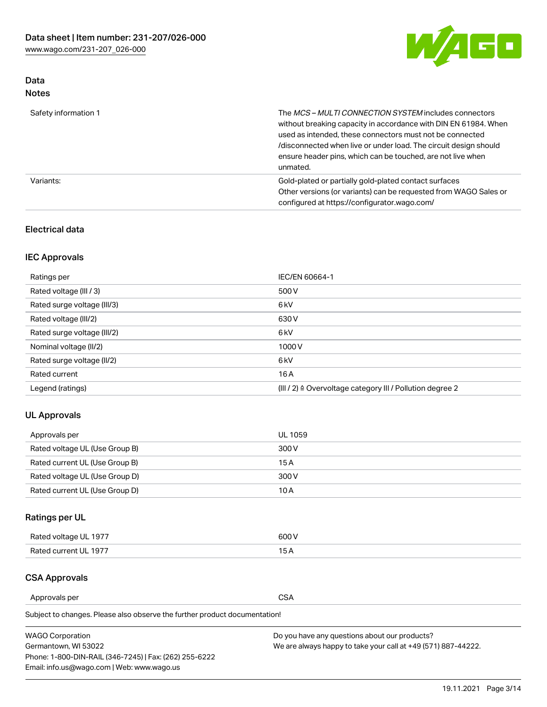

### Data Notes

| Safety information 1 | The MCS-MULTI CONNECTION SYSTEM includes connectors<br>without breaking capacity in accordance with DIN EN 61984. When<br>used as intended, these connectors must not be connected<br>/disconnected when live or under load. The circuit design should<br>ensure header pins, which can be touched, are not live when<br>unmated. |
|----------------------|-----------------------------------------------------------------------------------------------------------------------------------------------------------------------------------------------------------------------------------------------------------------------------------------------------------------------------------|
| Variants:            | Gold-plated or partially gold-plated contact surfaces<br>Other versions (or variants) can be requested from WAGO Sales or<br>configured at https://configurator.wago.com/                                                                                                                                                         |

### Electrical data

### IEC Approvals

| Ratings per                 | IEC/EN 60664-1                                                        |
|-----------------------------|-----------------------------------------------------------------------|
| Rated voltage (III / 3)     | 500 V                                                                 |
| Rated surge voltage (III/3) | 6 <sub>kV</sub>                                                       |
| Rated voltage (III/2)       | 630 V                                                                 |
| Rated surge voltage (III/2) | 6 <sub>kV</sub>                                                       |
| Nominal voltage (II/2)      | 1000V                                                                 |
| Rated surge voltage (II/2)  | 6 <sub>kV</sub>                                                       |
| Rated current               | 16A                                                                   |
| Legend (ratings)            | $(III / 2)$ $\triangle$ Overvoltage category III / Pollution degree 2 |

### UL Approvals

| Approvals per                  | UL 1059 |
|--------------------------------|---------|
| Rated voltage UL (Use Group B) | 300 V   |
| Rated current UL (Use Group B) | 15 A    |
| Rated voltage UL (Use Group D) | 300 V   |
| Rated current UL (Use Group D) | 10 A    |

# Ratings per UL

| Rated voltage UL 1977 | 300 V |
|-----------------------|-------|
| Rated current UL 1977 |       |

### CSA Approvals

Approvals per CSA

Subject to changes. Please also observe the further product documentation!

| <b>WAGO Corporation</b>                                | Do you have any questions about our products?                 |
|--------------------------------------------------------|---------------------------------------------------------------|
| Germantown, WI 53022                                   | We are always happy to take your call at +49 (571) 887-44222. |
| Phone: 1-800-DIN-RAIL (346-7245)   Fax: (262) 255-6222 |                                                               |
| Email: info.us@wago.com   Web: www.wago.us             |                                                               |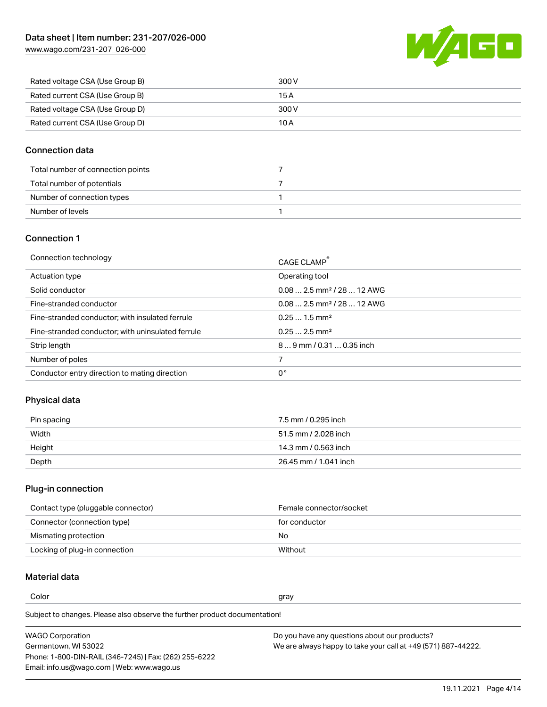[www.wago.com/231-207\\_026-000](http://www.wago.com/231-207_026-000)



| Rated voltage CSA (Use Group B) | 300 V |
|---------------------------------|-------|
| Rated current CSA (Use Group B) | 15 A  |
| Rated voltage CSA (Use Group D) | 300 V |
| Rated current CSA (Use Group D) | 10 A  |

### Connection data

| Total number of connection points |  |
|-----------------------------------|--|
| Total number of potentials        |  |
| Number of connection types        |  |
| Number of levels                  |  |

### Connection 1

| Connection technology                             | CAGE CLAMP <sup>®</sup>                 |
|---------------------------------------------------|-----------------------------------------|
| Actuation type                                    | Operating tool                          |
| Solid conductor                                   | $0.082.5$ mm <sup>2</sup> / 28  12 AWG  |
| Fine-stranded conductor                           | $0.08$ 2.5 mm <sup>2</sup> / 28  12 AWG |
| Fine-stranded conductor; with insulated ferrule   | $0.251.5$ mm <sup>2</sup>               |
| Fine-stranded conductor; with uninsulated ferrule | $0.252.5$ mm <sup>2</sup>               |
| Strip length                                      | 89 mm / 0.31  0.35 inch                 |
| Number of poles                                   |                                         |
| Conductor entry direction to mating direction     | 0°                                      |

# Physical data

| Pin spacing | 7.5 mm / 0.295 inch   |
|-------------|-----------------------|
| Width       | 51.5 mm / 2.028 inch  |
| Height      | 14.3 mm / 0.563 inch  |
| Depth       | 26.45 mm / 1.041 inch |

### Plug-in connection

| Contact type (pluggable connector) | Female connector/socket |
|------------------------------------|-------------------------|
| Connector (connection type)        | for conductor           |
| Mismating protection               | No                      |
| Locking of plug-in connection      | Without                 |

### Material data

Color and the color of the color of the color of the color of the color of the color of the color of the color

Subject to changes. Please also observe the further product documentation! Material group I

| <b>WAGO Corporation</b>                                | Do you have any questions about our products?                 |
|--------------------------------------------------------|---------------------------------------------------------------|
| Germantown, WI 53022                                   | We are always happy to take your call at +49 (571) 887-44222. |
| Phone: 1-800-DIN-RAIL (346-7245)   Fax: (262) 255-6222 |                                                               |
| Email: info.us@wago.com   Web: www.wago.us             |                                                               |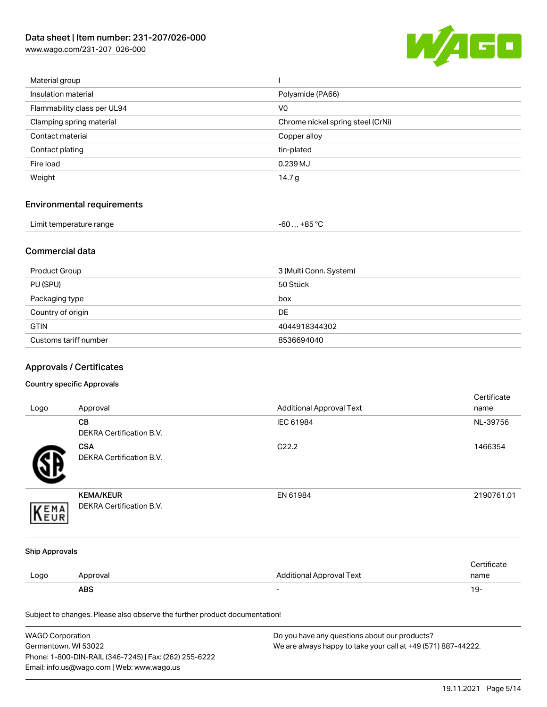[www.wago.com/231-207\\_026-000](http://www.wago.com/231-207_026-000)



| Material group              |                                   |
|-----------------------------|-----------------------------------|
| Insulation material         | Polyamide (PA66)                  |
| Flammability class per UL94 | V <sub>0</sub>                    |
| Clamping spring material    | Chrome nickel spring steel (CrNi) |
| Contact material            | Copper alloy                      |
| Contact plating             | tin-plated                        |
| Fire load                   | 0.239 MJ                          |
| Weight                      | 14.7 $g$                          |
|                             |                                   |

# Environmental requirements

| Limit temperature range<br>. | . +85 °Ր<br>co<br>-ou |  |
|------------------------------|-----------------------|--|
|------------------------------|-----------------------|--|

### Commercial data

| Product Group         | 3 (Multi Conn. System) |
|-----------------------|------------------------|
| PU (SPU)              | 50 Stück               |
| Packaging type        | box                    |
| Country of origin     | <b>DE</b>              |
| <b>GTIN</b>           | 4044918344302          |
| Customs tariff number | 8536694040             |

# Approvals / Certificates

#### Country specific Approvals

| Logo                  | Approval                                                                   | <b>Additional Approval Text</b> | Certificate<br>name |
|-----------------------|----------------------------------------------------------------------------|---------------------------------|---------------------|
|                       | CВ<br>DEKRA Certification B.V.                                             | IEC 61984                       | NL-39756            |
|                       | <b>CSA</b><br>DEKRA Certification B.V.                                     | C22.2                           | 1466354             |
| EMA<br>EUR            | <b>KEMA/KEUR</b><br>DEKRA Certification B.V.                               | EN 61984                        | 2190761.01          |
| <b>Ship Approvals</b> |                                                                            |                                 |                     |
| Logo                  | Approval                                                                   | <b>Additional Approval Text</b> | Certificate<br>name |
|                       | <b>ABS</b>                                                                 | $\overline{\phantom{a}}$        | $19 -$              |
|                       | Subject to changes. Please also observe the further product documentation! |                                 |                     |

| <b>WAGO Corporation</b>                                | Do you have any questions about our products?                 |
|--------------------------------------------------------|---------------------------------------------------------------|
| Germantown, WI 53022                                   | We are always happy to take your call at +49 (571) 887-44222. |
| Phone: 1-800-DIN-RAIL (346-7245)   Fax: (262) 255-6222 |                                                               |
| Email: info.us@wago.com   Web: www.wago.us             |                                                               |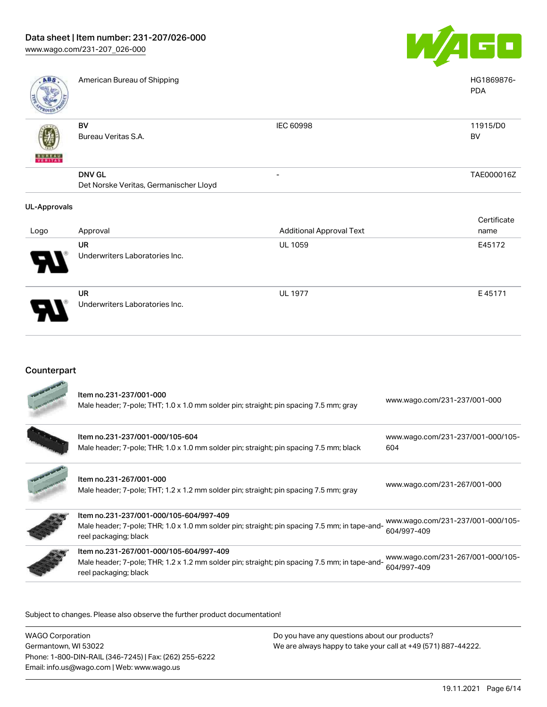Underwriters Laboratories Inc.



| <b>ABS</b>          | American Bureau of Shipping                             |                                 | HG1869876-<br><b>PDA</b> |
|---------------------|---------------------------------------------------------|---------------------------------|--------------------------|
| VERITAS             | BV<br>Bureau Veritas S.A.                               | <b>IEC 60998</b>                | 11915/D0<br>BV           |
|                     | <b>DNV GL</b><br>Det Norske Veritas, Germanischer Lloyd | -                               | TAE000016Z               |
| <b>UL-Approvals</b> |                                                         |                                 |                          |
|                     |                                                         |                                 | Certificate              |
| Logo                | Approval                                                | <b>Additional Approval Text</b> | name                     |
|                     | <b>UR</b>                                               | <b>UL 1059</b>                  | E45172                   |
|                     | Underwriters Laboratories Inc.                          |                                 |                          |
|                     | <b>UR</b>                                               | <b>UL 1977</b>                  | E45171                   |

### Counterpart

| Item no.231-237/001-000<br>Male header; 7-pole; THT; 1.0 x 1.0 mm solder pin; straight; pin spacing 7.5 mm; gray                                                  | www.wago.com/231-237/001-000                     |
|-------------------------------------------------------------------------------------------------------------------------------------------------------------------|--------------------------------------------------|
| Item no.231-237/001-000/105-604<br>Male header; 7-pole; THR; 1.0 x 1.0 mm solder pin; straight; pin spacing 7.5 mm; black                                         | www.wago.com/231-237/001-000/105-<br>604         |
| Item no.231-267/001-000<br>Male header; 7-pole; THT; 1.2 x 1.2 mm solder pin; straight; pin spacing 7.5 mm; gray                                                  | www.wago.com/231-267/001-000                     |
| Item no.231-237/001-000/105-604/997-409<br>Male header; 7-pole; THR; 1.0 x 1.0 mm solder pin; straight; pin spacing 7.5 mm; in tape-and-<br>reel packaging; black | www.wago.com/231-237/001-000/105-<br>604/997-409 |
| Item no.231-267/001-000/105-604/997-409<br>Male header; 7-pole; THR; 1.2 x 1.2 mm solder pin; straight; pin spacing 7.5 mm; in tape-and-<br>reel packaging; black | www.wago.com/231-267/001-000/105-<br>604/997-409 |
|                                                                                                                                                                   |                                                  |

Subject to changes. Please also observe the further product documentation!

WAGO Corporation Germantown, WI 53022 Phone: 1-800-DIN-RAIL (346-7245) | Fax: (262) 255-6222 Email: info.us@wago.com | Web: www.wago.us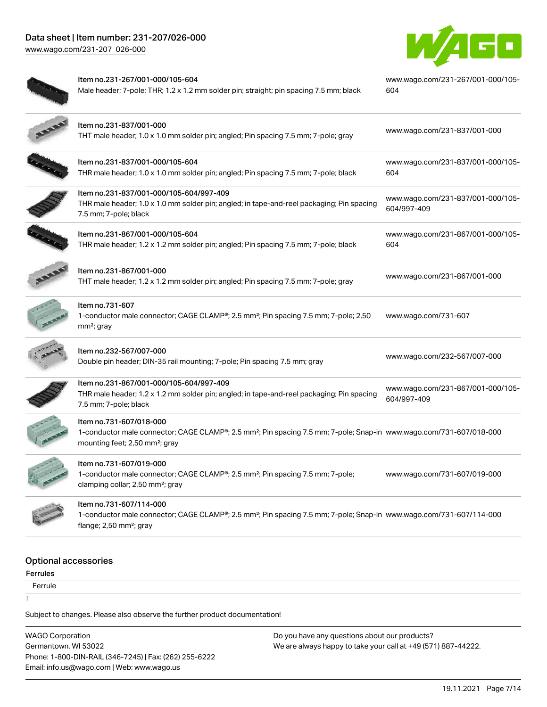[www.wago.com/231-207\\_026-000](http://www.wago.com/231-207_026-000)



| Item no.231-267/001-000/105-604<br>Male header; 7-pole; THR; 1.2 x 1.2 mm solder pin; straight; pin spacing 7.5 mm; black                                                                                | www.wago.com/231-267/001-000/105-<br>604         |
|----------------------------------------------------------------------------------------------------------------------------------------------------------------------------------------------------------|--------------------------------------------------|
| Item no.231-837/001-000<br>THT male header; 1.0 x 1.0 mm solder pin; angled; Pin spacing 7.5 mm; 7-pole; gray                                                                                            | www.wago.com/231-837/001-000                     |
| Item no.231-837/001-000/105-604<br>THR male header; 1.0 x 1.0 mm solder pin; angled; Pin spacing 7.5 mm; 7-pole; black                                                                                   | www.wago.com/231-837/001-000/105-<br>604         |
| Item no.231-837/001-000/105-604/997-409<br>THR male header; 1.0 x 1.0 mm solder pin; angled; in tape-and-reel packaging; Pin spacing<br>7.5 mm; 7-pole; black                                            | www.wago.com/231-837/001-000/105-<br>604/997-409 |
| Item no.231-867/001-000/105-604<br>THR male header; 1.2 x 1.2 mm solder pin; angled; Pin spacing 7.5 mm; 7-pole; black                                                                                   | www.wago.com/231-867/001-000/105-<br>604         |
| Item no.231-867/001-000<br>THT male header; 1.2 x 1.2 mm solder pin; angled; Pin spacing 7.5 mm; 7-pole; gray                                                                                            | www.wago.com/231-867/001-000                     |
| Item no.731-607<br>1-conductor male connector; CAGE CLAMP®; 2.5 mm <sup>2</sup> ; Pin spacing 7.5 mm; 7-pole; 2,50<br>$mm2$ ; gray                                                                       | www.wago.com/731-607                             |
| Item no.232-567/007-000<br>Double pin header; DIN-35 rail mounting; 7-pole; Pin spacing 7.5 mm; gray                                                                                                     | www.wago.com/232-567/007-000                     |
| Item no.231-867/001-000/105-604/997-409<br>THR male header; 1.2 x 1.2 mm solder pin; angled; in tape-and-reel packaging; Pin spacing<br>7.5 mm; 7-pole; black                                            | www.wago.com/231-867/001-000/105-<br>604/997-409 |
| Item no.731-607/018-000<br>1-conductor male connector; CAGE CLAMP®; 2.5 mm <sup>2</sup> ; Pin spacing 7.5 mm; 7-pole; Snap-in www.wago.com/731-607/018-000<br>mounting feet; 2,50 mm <sup>2</sup> ; gray |                                                  |
| Item no.731-607/019-000<br>1-conductor male connector; CAGE CLAMP®; 2.5 mm <sup>2</sup> ; Pin spacing 7.5 mm; 7-pole;<br>clamping collar; 2,50 mm <sup>2</sup> ; gray                                    | www.wago.com/731-607/019-000                     |
| Item no.731-607/114-000<br>1-conductor male connector; CAGE CLAMP®; 2.5 mm <sup>2</sup> ; Pin spacing 7.5 mm; 7-pole; Snap-in www.wago.com/731-607/114-000<br>flange; 2,50 mm <sup>2</sup> ; gray        |                                                  |
|                                                                                                                                                                                                          |                                                  |

### Optional accessories

Ferrules **Ferrule**  $\frac{1}{2}$ 

Subject to changes. Please also observe the further product documentation!

WAGO Corporation Germantown, WI 53022 Phone: 1-800-DIN-RAIL (346-7245) | Fax: (262) 255-6222 Email: info.us@wago.com | Web: www.wago.us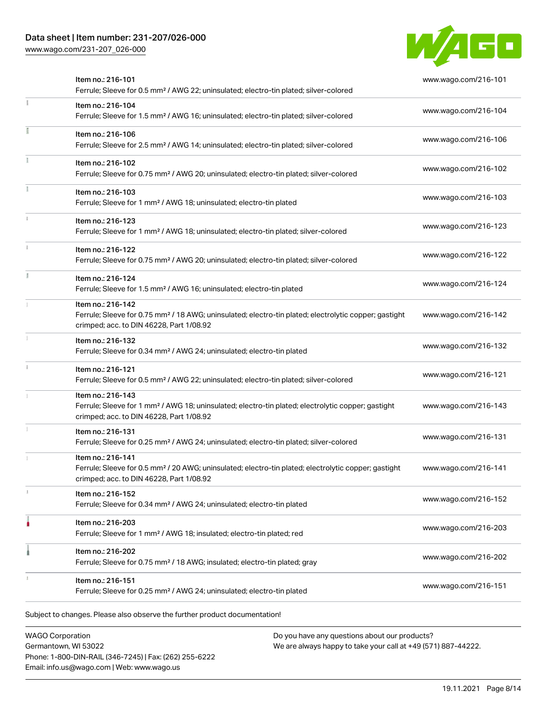[www.wago.com/231-207\\_026-000](http://www.wago.com/231-207_026-000)



| Item no.: 216-101<br>Ferrule; Sleeve for 0.5 mm <sup>2</sup> / AWG 22; uninsulated; electro-tin plated; silver-colored                                                             | www.wago.com/216-101 |
|------------------------------------------------------------------------------------------------------------------------------------------------------------------------------------|----------------------|
| Item no.: 216-104<br>Ferrule; Sleeve for 1.5 mm <sup>2</sup> / AWG 16; uninsulated; electro-tin plated; silver-colored                                                             | www.wago.com/216-104 |
| Item no.: 216-106<br>Ferrule; Sleeve for 2.5 mm <sup>2</sup> / AWG 14; uninsulated; electro-tin plated; silver-colored                                                             | www.wago.com/216-106 |
| Item no.: 216-102<br>Ferrule; Sleeve for 0.75 mm <sup>2</sup> / AWG 20; uninsulated; electro-tin plated; silver-colored                                                            | www.wago.com/216-102 |
| Item no.: 216-103<br>Ferrule; Sleeve for 1 mm <sup>2</sup> / AWG 18; uninsulated; electro-tin plated                                                                               | www.wago.com/216-103 |
| Item no.: 216-123<br>Ferrule; Sleeve for 1 mm <sup>2</sup> / AWG 18; uninsulated; electro-tin plated; silver-colored                                                               | www.wago.com/216-123 |
| Item no.: 216-122<br>Ferrule; Sleeve for 0.75 mm <sup>2</sup> / AWG 20; uninsulated; electro-tin plated; silver-colored                                                            | www.wago.com/216-122 |
| Item no.: 216-124<br>Ferrule; Sleeve for 1.5 mm <sup>2</sup> / AWG 16; uninsulated; electro-tin plated                                                                             | www.wago.com/216-124 |
| Item no.: 216-142<br>Ferrule; Sleeve for 0.75 mm <sup>2</sup> / 18 AWG; uninsulated; electro-tin plated; electrolytic copper; gastight<br>crimped; acc. to DIN 46228, Part 1/08.92 | www.wago.com/216-142 |
| Item no.: 216-132<br>Ferrule; Sleeve for 0.34 mm <sup>2</sup> / AWG 24; uninsulated; electro-tin plated                                                                            | www.wago.com/216-132 |
| Item no.: 216-121<br>Ferrule; Sleeve for 0.5 mm <sup>2</sup> / AWG 22; uninsulated; electro-tin plated; silver-colored                                                             | www.wago.com/216-121 |
| Item no.: 216-143<br>Ferrule; Sleeve for 1 mm <sup>2</sup> / AWG 18; uninsulated; electro-tin plated; electrolytic copper; gastight<br>crimped; acc. to DIN 46228, Part 1/08.92    | www.wago.com/216-143 |
| Item no.: 216-131<br>Ferrule; Sleeve for 0.25 mm <sup>2</sup> / AWG 24; uninsulated; electro-tin plated; silver-colored                                                            | www.wago.com/216-131 |
| Item no.: 216-141<br>Ferrule; Sleeve for 0.5 mm <sup>2</sup> / 20 AWG; uninsulated; electro-tin plated; electrolytic copper; gastight<br>crimped; acc. to DIN 46228, Part 1/08.92  | www.wago.com/216-141 |
| Item no.: 216-152<br>Ferrule; Sleeve for 0.34 mm <sup>2</sup> / AWG 24; uninsulated; electro-tin plated                                                                            | www.wago.com/216-152 |
| Item no.: 216-203<br>Ferrule; Sleeve for 1 mm <sup>2</sup> / AWG 18; insulated; electro-tin plated; red                                                                            | www.wago.com/216-203 |
| Item no.: 216-202<br>Ferrule; Sleeve for 0.75 mm <sup>2</sup> / 18 AWG; insulated; electro-tin plated; gray                                                                        | www.wago.com/216-202 |
| Item no.: 216-151<br>Ferrule; Sleeve for 0.25 mm <sup>2</sup> / AWG 24; uninsulated; electro-tin plated                                                                            | www.wago.com/216-151 |

WAGO Corporation Germantown, WI 53022 Phone: 1-800-DIN-RAIL (346-7245) | Fax: (262) 255-6222 Email: info.us@wago.com | Web: www.wago.us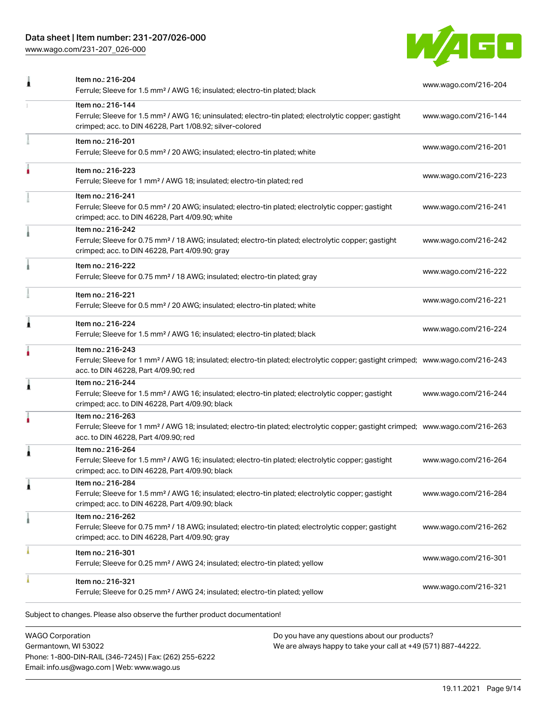[www.wago.com/231-207\\_026-000](http://www.wago.com/231-207_026-000)



| Item no.: 216-204<br>Ferrule; Sleeve for 1.5 mm <sup>2</sup> / AWG 16; insulated; electro-tin plated; black                                                                                             | www.wago.com/216-204 |
|---------------------------------------------------------------------------------------------------------------------------------------------------------------------------------------------------------|----------------------|
| Item no.: 216-144<br>Ferrule; Sleeve for 1.5 mm <sup>2</sup> / AWG 16; uninsulated; electro-tin plated; electrolytic copper; gastight<br>crimped; acc. to DIN 46228, Part 1/08.92; silver-colored       | www.wago.com/216-144 |
| Item no.: 216-201<br>Ferrule; Sleeve for 0.5 mm <sup>2</sup> / 20 AWG; insulated; electro-tin plated; white                                                                                             | www.wago.com/216-201 |
| Item no.: 216-223<br>Ferrule; Sleeve for 1 mm <sup>2</sup> / AWG 18; insulated; electro-tin plated; red                                                                                                 | www.wago.com/216-223 |
| Item no.: 216-241<br>Ferrule; Sleeve for 0.5 mm <sup>2</sup> / 20 AWG; insulated; electro-tin plated; electrolytic copper; gastight<br>crimped; acc. to DIN 46228, Part 4/09.90; white                  | www.wago.com/216-241 |
| Item no.: 216-242<br>Ferrule; Sleeve for 0.75 mm <sup>2</sup> / 18 AWG; insulated; electro-tin plated; electrolytic copper; gastight<br>crimped; acc. to DIN 46228, Part 4/09.90; gray                  | www.wago.com/216-242 |
| Item no.: 216-222<br>Ferrule; Sleeve for 0.75 mm <sup>2</sup> / 18 AWG; insulated; electro-tin plated; gray                                                                                             | www.wago.com/216-222 |
| Item no.: 216-221<br>Ferrule; Sleeve for 0.5 mm <sup>2</sup> / 20 AWG; insulated; electro-tin plated; white                                                                                             | www.wago.com/216-221 |
| Item no.: 216-224<br>Ferrule; Sleeve for 1.5 mm <sup>2</sup> / AWG 16; insulated; electro-tin plated; black                                                                                             | www.wago.com/216-224 |
| Item no.: 216-243<br>Ferrule; Sleeve for 1 mm <sup>2</sup> / AWG 18; insulated; electro-tin plated; electrolytic copper; gastight crimped; www.wago.com/216-243<br>acc. to DIN 46228, Part 4/09.90; red |                      |
| Item no.: 216-244<br>Ferrule; Sleeve for 1.5 mm <sup>2</sup> / AWG 16; insulated; electro-tin plated; electrolytic copper; gastight<br>crimped; acc. to DIN 46228, Part 4/09.90; black                  | www.wago.com/216-244 |
| Item no.: 216-263<br>Ferrule; Sleeve for 1 mm <sup>2</sup> / AWG 18; insulated; electro-tin plated; electrolytic copper; gastight crimped; www.wago.com/216-263<br>acc. to DIN 46228, Part 4/09.90; red |                      |
| Item no.: 216-264<br>Ferrule; Sleeve for 1.5 mm <sup>2</sup> / AWG 16; insulated; electro-tin plated; electrolytic copper; gastight<br>crimped; acc. to DIN 46228, Part 4/09.90; black                  | www.wago.com/216-264 |
| Item no.: 216-284<br>Ferrule; Sleeve for 1.5 mm <sup>2</sup> / AWG 16; insulated; electro-tin plated; electrolytic copper; gastight<br>crimped; acc. to DIN 46228, Part 4/09.90; black                  | www.wago.com/216-284 |
| Item no.: 216-262<br>Ferrule; Sleeve for 0.75 mm <sup>2</sup> / 18 AWG; insulated; electro-tin plated; electrolytic copper; gastight<br>crimped; acc. to DIN 46228, Part 4/09.90; gray                  | www.wago.com/216-262 |
| Item no.: 216-301<br>Ferrule; Sleeve for 0.25 mm <sup>2</sup> / AWG 24; insulated; electro-tin plated; yellow                                                                                           | www.wago.com/216-301 |
| Item no.: 216-321<br>Ferrule; Sleeve for 0.25 mm <sup>2</sup> / AWG 24; insulated; electro-tin plated; yellow                                                                                           | www.wago.com/216-321 |
|                                                                                                                                                                                                         |                      |

WAGO Corporation Germantown, WI 53022 Phone: 1-800-DIN-RAIL (346-7245) | Fax: (262) 255-6222 Email: info.us@wago.com | Web: www.wago.us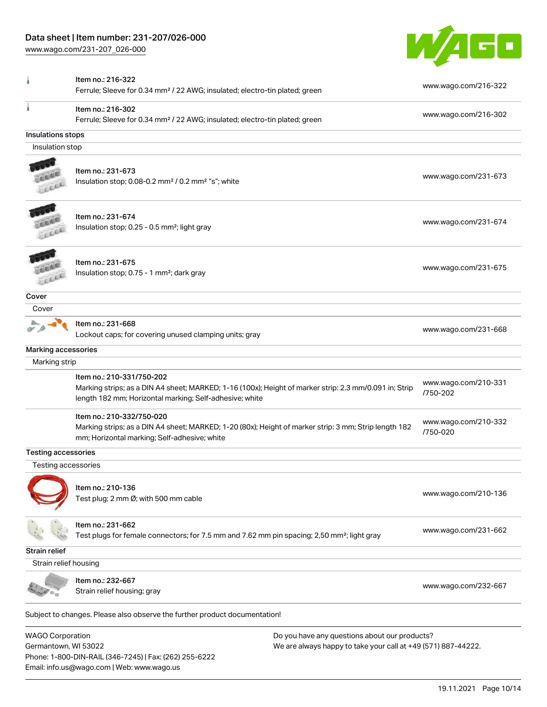Phone: 1-800-DIN-RAIL (346-7245) | Fax: (262) 255-6222

Email: info.us@wago.com | Web: www.wago.us

[www.wago.com/231-207\\_026-000](http://www.wago.com/231-207_026-000)



|                            | Item no.: 216-322<br>Ferrule; Sleeve for 0.34 mm <sup>2</sup> / 22 AWG; insulated; electro-tin plated; green                                                                                   |                                                               | www.wago.com/216-322             |
|----------------------------|------------------------------------------------------------------------------------------------------------------------------------------------------------------------------------------------|---------------------------------------------------------------|----------------------------------|
|                            | Item no.: 216-302<br>Ferrule; Sleeve for 0.34 mm <sup>2</sup> / 22 AWG; insulated; electro-tin plated; green                                                                                   |                                                               | www.wago.com/216-302             |
| Insulations stops          |                                                                                                                                                                                                |                                                               |                                  |
| Insulation stop            |                                                                                                                                                                                                |                                                               |                                  |
|                            |                                                                                                                                                                                                |                                                               |                                  |
| LEEL                       | Item no.: 231-673<br>Insulation stop; 0.08-0.2 mm <sup>2</sup> / 0.2 mm <sup>2</sup> "s"; white                                                                                                |                                                               | www.wago.com/231-673             |
|                            | Item no.: 231-674                                                                                                                                                                              |                                                               |                                  |
| Lecce                      | Insulation stop; 0.25 - 0.5 mm <sup>2</sup> ; light gray                                                                                                                                       |                                                               | www.wago.com/231-674             |
|                            | Item no.: 231-675                                                                                                                                                                              |                                                               | www.wago.com/231-675             |
| LEEL                       | Insulation stop; 0.75 - 1 mm <sup>2</sup> ; dark gray                                                                                                                                          |                                                               |                                  |
| Cover                      |                                                                                                                                                                                                |                                                               |                                  |
| Cover                      |                                                                                                                                                                                                |                                                               |                                  |
|                            | Item no.: 231-668<br>Lockout caps; for covering unused clamping units; gray                                                                                                                    |                                                               | www.wago.com/231-668             |
| Marking accessories        |                                                                                                                                                                                                |                                                               |                                  |
| Marking strip              |                                                                                                                                                                                                |                                                               |                                  |
|                            | Item no.: 210-331/750-202<br>Marking strips; as a DIN A4 sheet; MARKED; 1-16 (100x); Height of marker strip: 2.3 mm/0.091 in; Strip<br>length 182 mm; Horizontal marking; Self-adhesive; white |                                                               | www.wago.com/210-331<br>/750-202 |
|                            | Item no.: 210-332/750-020<br>Marking strips; as a DIN A4 sheet; MARKED; 1-20 (80x); Height of marker strip: 3 mm; Strip length 182<br>mm; Horizontal marking; Self-adhesive; white             |                                                               | www.wago.com/210-332<br>/750-020 |
| <b>Testing accessories</b> |                                                                                                                                                                                                |                                                               |                                  |
| Testing accessories        |                                                                                                                                                                                                |                                                               |                                  |
|                            | Item no.: 210-136<br>Test plug; 2 mm Ø; with 500 mm cable                                                                                                                                      |                                                               | www.wago.com/210-136             |
|                            | Item no.: 231-662<br>Test plugs for female connectors; for 7.5 mm and 7.62 mm pin spacing; 2,50 mm <sup>2</sup> ; light gray                                                                   |                                                               | www.wago.com/231-662             |
| <b>Strain relief</b>       |                                                                                                                                                                                                |                                                               |                                  |
| Strain relief housing      |                                                                                                                                                                                                |                                                               |                                  |
|                            | Item no.: 232-667                                                                                                                                                                              |                                                               | www.wago.com/232-667             |
|                            | Strain relief housing; gray                                                                                                                                                                    |                                                               |                                  |
|                            | Subject to changes. Please also observe the further product documentation!                                                                                                                     |                                                               |                                  |
| <b>WAGO Corporation</b>    |                                                                                                                                                                                                | Do you have any questions about our products?                 |                                  |
| Germantown, WI 53022       |                                                                                                                                                                                                | We are always happy to take your call at +49 (571) 887-44222. |                                  |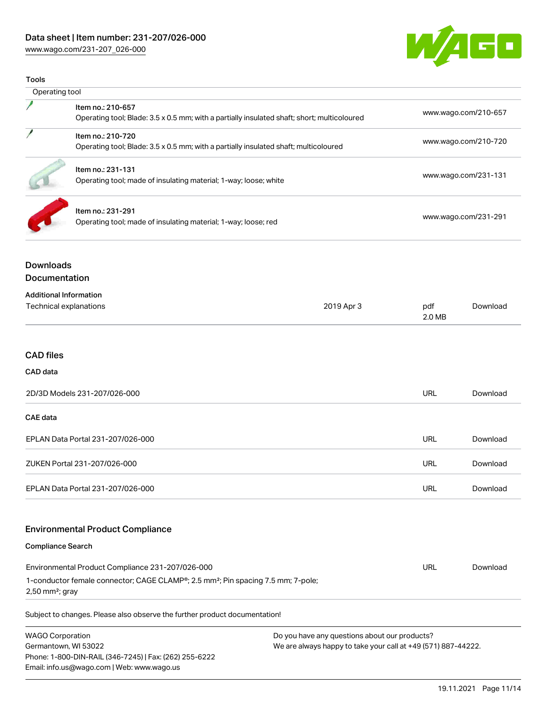[www.wago.com/231-207\\_026-000](http://www.wago.com/231-207_026-000)



| <b>Tools</b>                                                                                                                                                                                       |                                                                                                                  |                      |                      |                      |
|----------------------------------------------------------------------------------------------------------------------------------------------------------------------------------------------------|------------------------------------------------------------------------------------------------------------------|----------------------|----------------------|----------------------|
| Operating tool                                                                                                                                                                                     |                                                                                                                  |                      |                      |                      |
|                                                                                                                                                                                                    | Item no.: 210-657<br>Operating tool; Blade: 3.5 x 0.5 mm; with a partially insulated shaft; short; multicoloured |                      |                      | www.wago.com/210-657 |
| Item no.: 210-720<br>Operating tool; Blade: 3.5 x 0.5 mm; with a partially insulated shaft; multicoloured<br>Item no.: 231-131<br>Operating tool; made of insulating material; 1-way; loose; white |                                                                                                                  |                      | www.wago.com/210-720 |                      |
|                                                                                                                                                                                                    |                                                                                                                  | www.wago.com/231-131 |                      |                      |
|                                                                                                                                                                                                    | Item no.: 231-291<br>Operating tool; made of insulating material; 1-way; loose; red                              |                      | www.wago.com/231-291 |                      |
| <b>Downloads</b><br>Documentation                                                                                                                                                                  |                                                                                                                  |                      |                      |                      |
| <b>Additional Information</b>                                                                                                                                                                      | Technical explanations                                                                                           | 2019 Apr 3           | pdf<br>2.0 MB        | Download             |
| <b>CAD files</b>                                                                                                                                                                                   |                                                                                                                  |                      |                      |                      |
| CAD data                                                                                                                                                                                           |                                                                                                                  |                      |                      |                      |
|                                                                                                                                                                                                    | 2D/3D Models 231-207/026-000                                                                                     |                      | <b>URL</b>           | Download             |
| <b>CAE</b> data                                                                                                                                                                                    |                                                                                                                  |                      |                      |                      |
|                                                                                                                                                                                                    | EPLAN Data Portal 231-207/026-000                                                                                |                      | URL                  | Download             |
|                                                                                                                                                                                                    | ZUKEN Portal 231-207/026-000                                                                                     |                      | <b>URL</b>           | Download             |
|                                                                                                                                                                                                    | EPLAN Data Portal 231-207/026-000                                                                                |                      | <b>URL</b>           | Download             |
|                                                                                                                                                                                                    | <b>Environmental Product Compliance</b>                                                                          |                      |                      |                      |
| <b>Compliance Search</b>                                                                                                                                                                           |                                                                                                                  |                      |                      |                      |
|                                                                                                                                                                                                    | Environmental Product Compliance 231-207/026-000                                                                 |                      | <b>URL</b>           | Download             |
| $2,50$ mm <sup>2</sup> ; gray                                                                                                                                                                      | 1-conductor female connector; CAGE CLAMP <sup>®</sup> ; 2.5 mm <sup>2</sup> ; Pin spacing 7.5 mm; 7-pole;        |                      |                      |                      |

WAGO Corporation Germantown, WI 53022 Phone: 1-800-DIN-RAIL (346-7245) | Fax: (262) 255-6222 Email: info.us@wago.com | Web: www.wago.us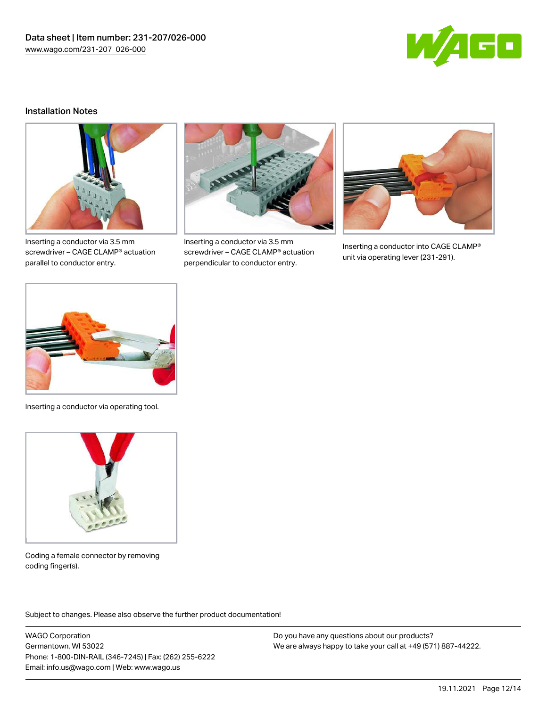

#### Installation Notes



Inserting a conductor via 3.5 mm screwdriver – CAGE CLAMP® actuation parallel to conductor entry.



Inserting a conductor via 3.5 mm screwdriver – CAGE CLAMP® actuation perpendicular to conductor entry.



Inserting a conductor into CAGE CLAMP® unit via operating lever (231-291).



Inserting a conductor via operating tool.



Coding a female connector by removing coding finger(s).

Subject to changes. Please also observe the further product documentation!

WAGO Corporation Germantown, WI 53022 Phone: 1-800-DIN-RAIL (346-7245) | Fax: (262) 255-6222 Email: info.us@wago.com | Web: www.wago.us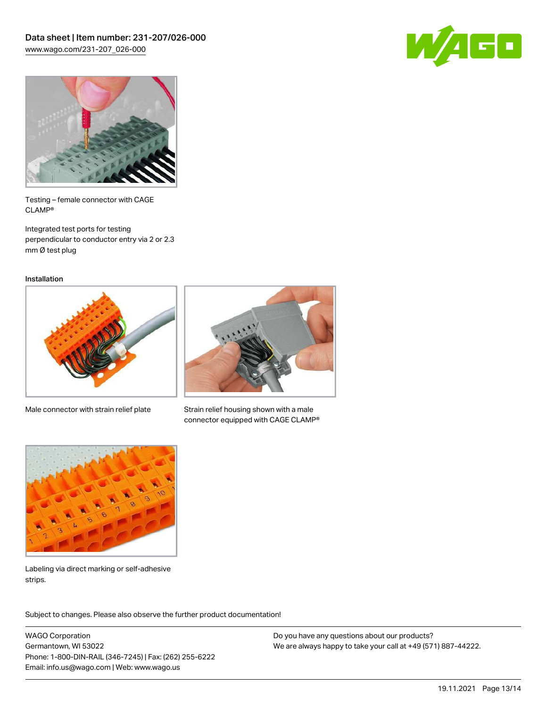



Testing – female connector with CAGE CLAMP®

Integrated test ports for testing perpendicular to conductor entry via 2 or 2.3 mm Ø test plug

Installation



Male connector with strain relief plate



Strain relief housing shown with a male connector equipped with CAGE CLAMP®



Labeling via direct marking or self-adhesive strips.

Subject to changes. Please also observe the further product documentation! Product family

WAGO Corporation Germantown, WI 53022 Phone: 1-800-DIN-RAIL (346-7245) | Fax: (262) 255-6222 Email: info.us@wago.com | Web: www.wago.us